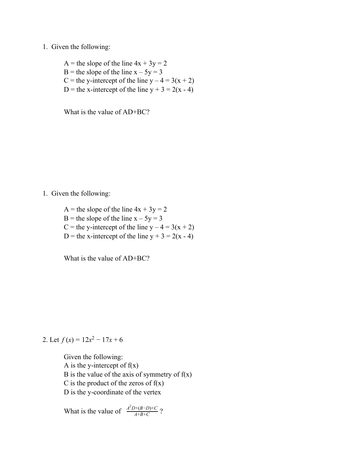1. Given the following:

A = the slope of the line  $4x + 3y = 2$ B = the slope of the line  $x - 5y = 3$ C = the y-intercept of the line  $y - 4 = 3(x + 2)$ D = the x-intercept of the line  $y + 3 = 2(x - 4)$ 

What is the value of AD+BC?

1. Given the following:

A = the slope of the line  $4x + 3y = 2$ B = the slope of the line  $x - 5y = 3$ C = the y-intercept of the line  $y - 4 = 3(x + 2)$ D = the x-intercept of the line  $y + 3 = 2(x - 4)$ 

What is the value of AD+BC?

2. Let 
$$
f(x) = 12x^2 - 17x + 6
$$

Given the following: A is the y-intercept of  $f(x)$ B is the value of the axis of symmetry of  $f(x)$ C is the product of the zeros of  $f(x)$ D is the y-coordinate of the vertex

What is the value of  $\frac{A D + (B - D) + C}{A + B + C}$ ? *A*<sup>2</sup>*D*+(*B*−*D*)+*C*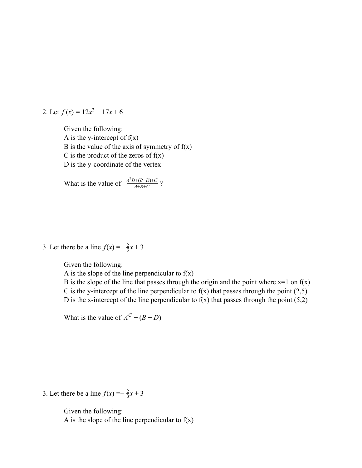2. Let 
$$
f(x) = 12x^2 - 17x + 6
$$

Given the following: A is the y-intercept of  $f(x)$ B is the value of the axis of symmetry of  $f(x)$ C is the product of the zeros of  $f(x)$ D is the y-coordinate of the vertex

What is the value of  $\frac{A D + (B - D) + C}{A + B + C}$ ? *A*<sup>2</sup>*D*+(*B*−*D*)+*C* 

3. Let there be a line  $f(x) = -\frac{2}{3}x + 3$ 

Given the following:

A is the slope of the line perpendicular to  $f(x)$ 

B is the slope of the line that passes through the origin and the point where  $x=1$  on  $f(x)$ C is the y-intercept of the line perpendicular to  $f(x)$  that passes through the point (2,5) D is the x-intercept of the line perpendicular to  $f(x)$  that passes through the point (5,2)

What is the value of  $A^C - (B - D)$ 

3. Let there be a line  $f(x) = -\frac{2}{3}x + 3$ 

Given the following:

A is the slope of the line perpendicular to  $f(x)$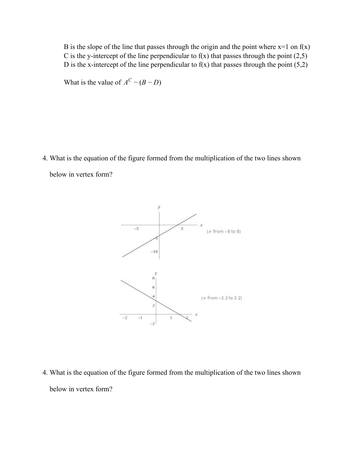B is the slope of the line that passes through the origin and the point where  $x=1$  on  $f(x)$ C is the y-intercept of the line perpendicular to  $f(x)$  that passes through the point (2,5) D is the x-intercept of the line perpendicular to  $f(x)$  that passes through the point (5,2)

What is the value of  $A^C - (B - D)$ 

4. What is the equation of the figure formed from the multiplication of the two lines shown below in vertex form?



4. What is the equation of the figure formed from the multiplication of the two lines shown below in vertex form?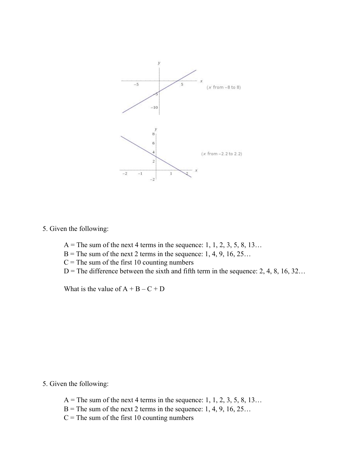

5. Given the following:

A = The sum of the next 4 terms in the sequence: 1, 1, 2, 3, 5, 8, 13...

- $B$  = The sum of the next 2 terms in the sequence: 1, 4, 9, 16, 25...
- $C =$  The sum of the first 10 counting numbers

 $D$  = The difference between the sixth and fifth term in the sequence: 2, 4, 8, 16, 32...

What is the value of  $A + B - C + D$ 

5. Given the following:

- A = The sum of the next 4 terms in the sequence: 1, 1, 2, 3, 5, 8, 13...
- $B$  = The sum of the next 2 terms in the sequence: 1, 4, 9, 16, 25...
- $C =$ The sum of the first 10 counting numbers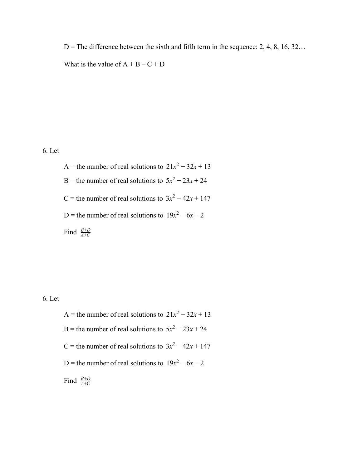$D$  = The difference between the sixth and fifth term in the sequence: 2, 4, 8, 16, 32... What is the value of  $A + B - C + D$ 

6. Let

A = the number of real solutions to  $21x^2 - 32x + 13$ B = the number of real solutions to  $5x^2 - 23x + 24$ C = the number of real solutions to  $3x^2 - 42x + 147$ D = the number of real solutions to  $19x^2 - 6x - 2$ Find  $\frac{B+D}{A+C}$ 

6. Let

A = the number of real solutions to  $21x^2 - 32x + 13$ B = the number of real solutions to  $5x^2 - 23x + 24$ C = the number of real solutions to  $3x^2 - 42x + 147$ D = the number of real solutions to  $19x^2 - 6x - 2$ Find  $\frac{B+D}{A+C}$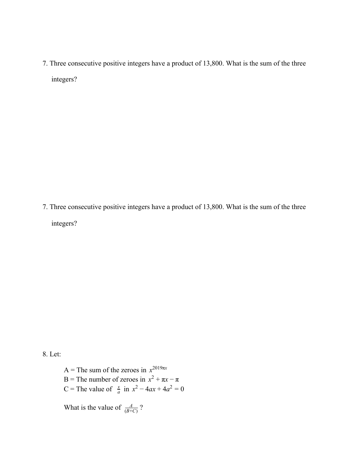7. Three consecutive positive integers have a product of 13,800. What is the sum of the three integers?

7. Three consecutive positive integers have a product of 13,800. What is the sum of the three integers?

8. Let:

 $A =$ The sum of the zeroes in  $x^{2019\pi x}$ B = The number of zeroes in  $x^2 + \pi x - \pi$ C = The value of  $\frac{x}{a}$  in  $x^2 - 4ax + 4a^2 = 0$ 

What is the value of  $\frac{A}{(B+C)}$ ? (*B*+*C*)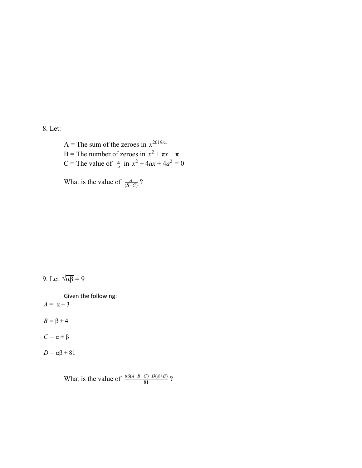8. Let:

 $A =$ The sum of the zeroes in  $x^{2019\pi x}$ B = The number of zeroes in  $x^2 + \pi x - \pi$ C = The value of  $\frac{x}{a}$  in  $x^2 - 4ax + 4a^2 = 0$ 

What is the value of  $\frac{A}{(B+C)}$ ? (*B*+*C*)

9. Let  $\sqrt{\alpha\beta} = 9$ 

Given the following:

 $A = \alpha + 3$ 

 $B = \beta + 4$ 

 $C = \alpha + \beta$ 

 $D = αβ + 81$ 

What is the value of  $\frac{\text{ap}(A+B+C)-D(A+B)}{81}$ ? αβ(*A*+*B*+*C*)−*D*(*A*+*B*)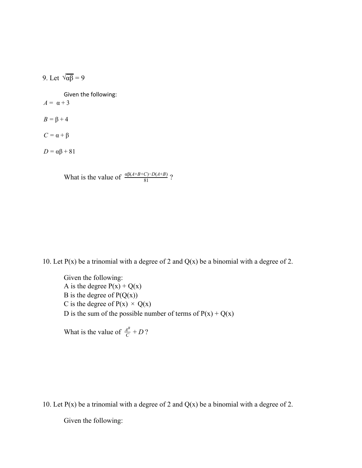9. Let  $\sqrt{\alpha\beta} = 9$ 

Given the following:

 $A = \alpha + 3$ *B* = β + 4

 $C = \alpha + \beta$ 

 $D = \alpha \beta + 81$ 

What is the value of  $\frac{\text{ap}(A+B+C)-D(A+B)}{81}$ ? αβ(*A*+*B*+*C*)−*D*(*A*+*B*)

10. Let  $P(x)$  be a trinomial with a degree of 2 and  $Q(x)$  be a binomial with a degree of 2.

Given the following: A is the degree  $P(x) + Q(x)$ B is the degree of  $P(Q(x))$ C is the degree of  $P(x) \times Q(x)$ D is the sum of the possible number of terms of  $P(x) + Q(x)$ 

What is the value of  $\frac{A^B}{C}$  + *D*?

10. Let  $P(x)$  be a trinomial with a degree of 2 and  $Q(x)$  be a binomial with a degree of 2.

Given the following: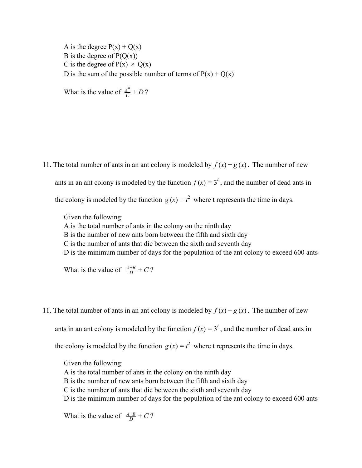A is the degree  $P(x) + Q(x)$ B is the degree of  $P(Q(x))$ C is the degree of  $P(x) \times Q(x)$ D is the sum of the possible number of terms of  $P(x) + Q(x)$ 

What is the value of  $\frac{A^B}{C}$  + *D*?

11. The total number of ants in an ant colony is modeled by  $f(x) - g(x)$ . The number of new ants in an ant colony is modeled by the function  $f(x) = 3<sup>t</sup>$ , and the number of dead ants in the colony is modeled by the function  $g(x) = t^2$  where t represents the time in days.

Given the following:

A is the total number of ants in the colony on the ninth day

B is the number of new ants born between the fifth and sixth day

C is the number of ants that die between the sixth and seventh day

D is the minimum number of days for the population of the ant colony to exceed 600 ants

What is the value of  $\frac{A+B}{D}$  + *C*?

11. The total number of ants in an ant colony is modeled by  $f(x) - g(x)$ . The number of new

ants in an ant colony is modeled by the function  $f(x) = 3<sup>t</sup>$ , and the number of dead ants in

the colony is modeled by the function  $g(x) = t^2$  where t represents the time in days.

Given the following:

A is the total number of ants in the colony on the ninth day

B is the number of new ants born between the fifth and sixth day

C is the number of ants that die between the sixth and seventh day

D is the minimum number of days for the population of the ant colony to exceed 600 ants

What is the value of  $\frac{A+B}{D}$  + *C*?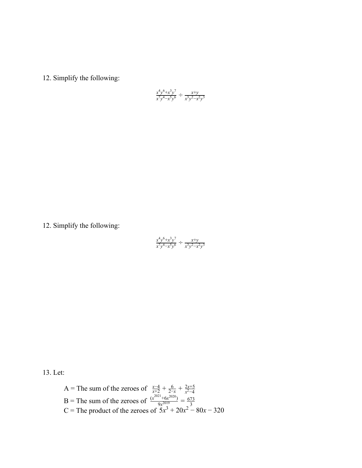12. Simplify the following:

$$
\frac{x^4y^6+x^3y^7}{x^7y^4-x^5y^6} \div \frac{x+y}{x^3y^2-x^2y^3}
$$

12. Simplify the following:

$$
\frac{x^4y^6+x^3y^7}{x^7y^4-x^5y^6} \div \frac{x+y}{x^3y^2-x^2y^3}
$$

13. Let:

A = The sum of the zeroes of 
$$
\frac{x-4}{x+2} + \frac{6}{2-x} + \frac{2x+5}{x^2-4}
$$
  
B = The sum of the zeroes of  $\frac{(x^{2021} + 6x^{2020})}{9x^{2019}} = \frac{673}{3}$   
C = The product of the zeroes of  $5x^3 + 20x^2 - 80x - 320$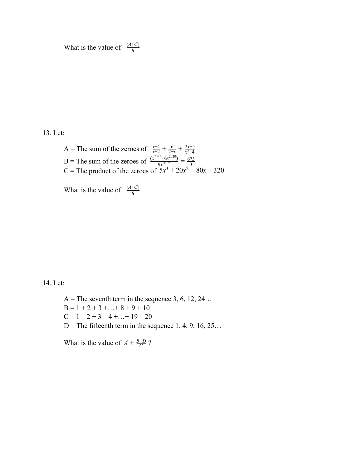What is the value of  $\frac{(A+C)}{B}$ 

13. Let:

A = The sum of the zeroes of  $\frac{x-4}{x+2} + \frac{6}{2-x} + \frac{2x+5}{x^2-4}$ B = The sum of the zeroes of  $\frac{(x^{2021} + 6x^{2020})}{9x^{2019}} = \frac{673}{3}$ C = The product of the zeroes of  $5x^3 + 20x^2 - 80x - 320$ 

What is the value of  $\frac{(A+C)}{B}$ 

14. Let:

A = The seventh term in the sequence 3, 6, 12, 24...  $B = 1 + 2 + 3 + \ldots + 8 + 9 + 10$  $C = 1 - 2 + 3 - 4 + \dots + 19 - 20$ D = The fifteenth term in the sequence  $1, 4, 9, 16, 25...$ 

What is the value of  $A + \frac{B+D}{C}$ ?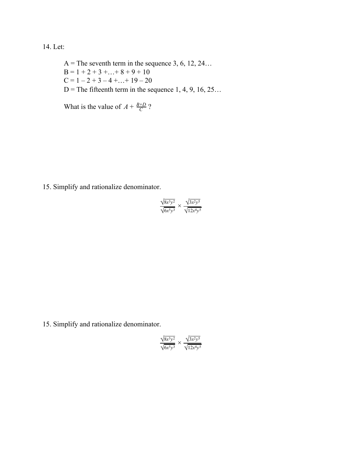14. Let:

A = The seventh term in the sequence 3, 6, 12, 24...  $B = 1 + 2 + 3 + \ldots + 8 + 9 + 10$  $C = 1 - 2 + 3 - 4 + \dots + 19 - 20$ D = The fifteenth term in the sequence 1, 4, 9, 16, 25...

What is the value of  $A + \frac{B+D}{C}$ ?

15. Simplify and rationalize denominator.

$$
\frac{\sqrt{8x^3y^2}}{\sqrt{6x^5y^3}} \times \frac{\sqrt{3x^2y^5}}{\sqrt{12x^4y^5}}
$$

15. Simplify and rationalize denominator.

$$
\frac{\sqrt{8x^3y^2}}{\sqrt{6x^5y^3}} \times \frac{\sqrt{3x^2y^5}}{\sqrt{12x^4y^5}}
$$